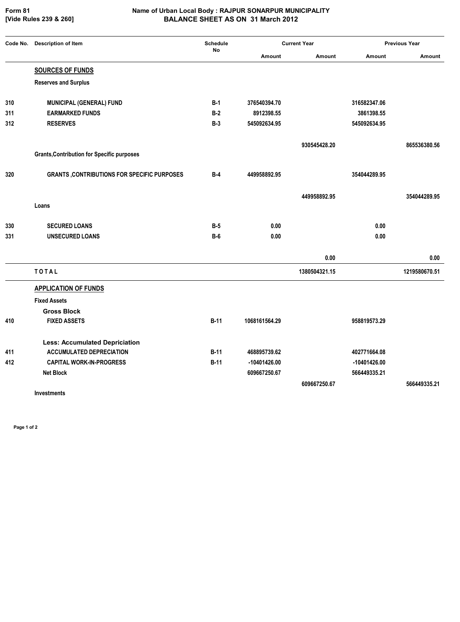**[Vide Rules 239 & 260]**

## **Form 81 Name of Urban Local Body : RAJPUR SONARPUR MUNICIPALITY BALANCE SHEET AS ON 31 March 2012**

| Code No. | <b>Description of Item</b>                         | <b>Schedule</b><br><b>No</b> | <b>Current Year</b> |               | <b>Previous Year</b> |               |
|----------|----------------------------------------------------|------------------------------|---------------------|---------------|----------------------|---------------|
|          |                                                    |                              | Amount              | Amount        | Amount               | Amount        |
|          | <b>SOURCES OF FUNDS</b>                            |                              |                     |               |                      |               |
|          | <b>Reserves and Surplus</b>                        |                              |                     |               |                      |               |
| 310      | <b>MUNICIPAL (GENERAL) FUND</b>                    | $B-1$                        | 376540394.70        |               | 316582347.06         |               |
| 311      | <b>EARMARKED FUNDS</b>                             | $B-2$                        | 8912398.55          |               | 3861398.55           |               |
| 312      | <b>RESERVES</b>                                    | $B-3$                        | 545092634.95        |               | 545092634.95         |               |
|          |                                                    |                              |                     | 930545428.20  |                      | 865536380.56  |
|          | <b>Grants, Contribution for Specific purposes</b>  |                              |                     |               |                      |               |
| 320      | <b>GRANTS, CONTRIBUTIONS FOR SPECIFIC PURPOSES</b> | $B-4$                        | 449958892.95        |               | 354044289.95         |               |
|          |                                                    |                              |                     | 449958892.95  |                      | 354044289.95  |
|          | Loans                                              |                              |                     |               |                      |               |
| 330      | <b>SECURED LOANS</b>                               | $B-5$                        | 0.00                |               | 0.00                 |               |
| 331      | <b>UNSECURED LOANS</b>                             | $B-6$                        | 0.00                |               | 0.00                 |               |
|          |                                                    |                              |                     | 0.00          |                      | 0.00          |
|          | <b>TOTAL</b>                                       |                              |                     | 1380504321.15 |                      | 1219580670.51 |
|          | <b>APPLICATION OF FUNDS</b>                        |                              |                     |               |                      |               |
|          | <b>Fixed Assets</b>                                |                              |                     |               |                      |               |
|          | <b>Gross Block</b>                                 |                              |                     |               |                      |               |
| 410      | <b>FIXED ASSETS</b>                                | $B-11$                       | 1068161564.29       |               | 958819573.29         |               |
|          | <b>Less: Accumulated Depriciation</b>              |                              |                     |               |                      |               |
| 411      | <b>ACCUMULATED DEPRECIATION</b>                    | $B-11$                       | 468895739.62        |               | 402771664.08         |               |
| 412      | <b>CAPITAL WORK-IN-PROGRESS</b>                    | $B-11$                       | -10401426.00        |               | $-10401426.00$       |               |
|          | <b>Net Block</b>                                   |                              | 609667250.67        |               | 566449335.21         |               |
|          | <b>Investments</b>                                 |                              |                     | 609667250.67  |                      | 566449335.21  |

**Page 1 of 2**